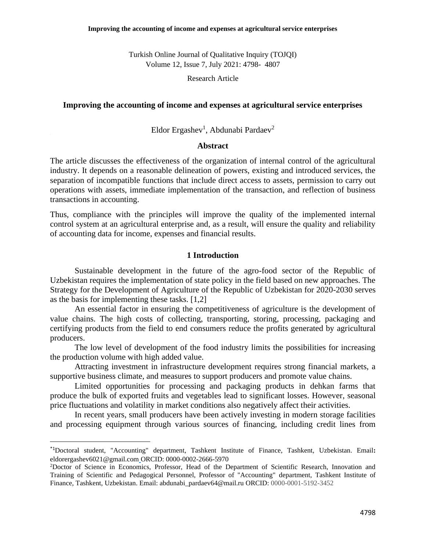Turkish Online Journal of Qualitative Inquiry (TOJQI) Volume 12, Issue 7, July 2021: 4798- 4807

Research Article

### **Improving the accounting of income and expenses at agricultural service enterprises**

Eldor Ergashev<sup>1</sup>, Abdunabi Pardaev<sup>2</sup>

# **Abstract**

The article discusses the effectiveness of the organization of internal control of the agricultural industry. It depends on a reasonable delineation of powers, existing and introduced services, the separation of incompatible functions that include direct access to assets, permission to carry out operations with assets, immediate implementation of the transaction, and reflection of business transactions in accounting.

Thus, compliance with the principles will improve the quality of the implemented internal control system at an agricultural enterprise and, as a result, will ensure the quality and reliability of accounting data for income, expenses and financial results.

#### **1 Introduction**

Sustainable development in the future of the agro-food sector of the Republic of Uzbekistan requires the implementation of state policy in the field based on new approaches. The Strategy for the Development of Agriculture of the Republic of Uzbekistan for 2020-2030 serves as the basis for implementing these tasks. [1,2]

An essential factor in ensuring the competitiveness of agriculture is the development of value chains. The high costs of collecting, transporting, storing, processing, packaging and certifying products from the field to end consumers reduce the profits generated by agricultural producers.

The low level of development of the food industry limits the possibilities for increasing the production volume with high added value.

Attracting investment in infrastructure development requires strong financial markets, a supportive business climate, and measures to support producers and promote value chains.

Limited opportunities for processing and packaging products in dehkan farms that produce the bulk of exported fruits and vegetables lead to significant losses. However, seasonal price fluctuations and volatility in market conditions also negatively affect their activities.

In recent years, small producers have been actively investing in modern storage facilities and processing equipment through various sources of financing, including credit lines from

<sup>\*1</sup>Doctoral student, "Accounting" department, Tashkent Institute of Finance, Tashkent, Uzbekistan. Email**:**  eldorergashev6021@gmail.com ORCID: 0000-0002-2666-5970

<sup>2</sup>Doctor of Science in Economics, Professor, Head of the Department of Scientific Research, Innovation and Training of Scientific and Pedagogical Personnel, Professor of "Accounting" department, Tashkent Institute of Finance, Tashkent, Uzbekistan. Email: abdunabi\_pardaev64@mail.ru ORCID: 0000-0001-5192-3452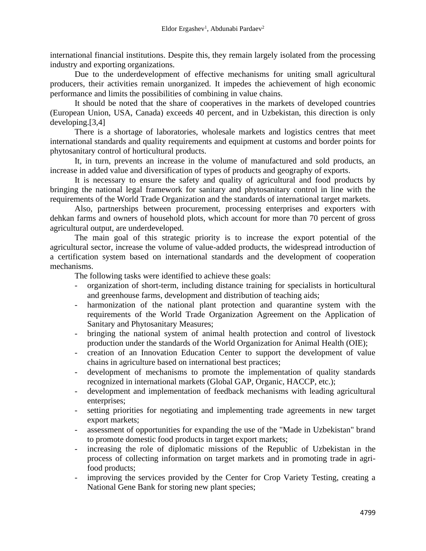international financial institutions. Despite this, they remain largely isolated from the processing industry and exporting organizations.

Due to the underdevelopment of effective mechanisms for uniting small agricultural producers, their activities remain unorganized. It impedes the achievement of high economic performance and limits the possibilities of combining in value chains.

It should be noted that the share of cooperatives in the markets of developed countries (European Union, USA, Canada) exceeds 40 percent, and in Uzbekistan, this direction is only developing.[3,4]

There is a shortage of laboratories, wholesale markets and logistics centres that meet international standards and quality requirements and equipment at customs and border points for phytosanitary control of horticultural products.

It, in turn, prevents an increase in the volume of manufactured and sold products, an increase in added value and diversification of types of products and geography of exports.

It is necessary to ensure the safety and quality of agricultural and food products by bringing the national legal framework for sanitary and phytosanitary control in line with the requirements of the World Trade Organization and the standards of international target markets.

Also, partnerships between procurement, processing enterprises and exporters with dehkan farms and owners of household plots, which account for more than 70 percent of gross agricultural output, are underdeveloped.

The main goal of this strategic priority is to increase the export potential of the agricultural sector, increase the volume of value-added products, the widespread introduction of a certification system based on international standards and the development of cooperation mechanisms.

The following tasks were identified to achieve these goals:

- organization of short-term, including distance training for specialists in horticultural and greenhouse farms, development and distribution of teaching aids;
- harmonization of the national plant protection and quarantine system with the requirements of the World Trade Organization Agreement on the Application of Sanitary and Phytosanitary Measures;
- bringing the national system of animal health protection and control of livestock production under the standards of the World Organization for Animal Health (OIE);
- creation of an Innovation Education Center to support the development of value chains in agriculture based on international best practices;
- development of mechanisms to promote the implementation of quality standards recognized in international markets (Global GAP, Organic, HACCP, etc.);
- development and implementation of feedback mechanisms with leading agricultural enterprises;
- setting priorities for negotiating and implementing trade agreements in new target export markets;
- assessment of opportunities for expanding the use of the "Made in Uzbekistan" brand to promote domestic food products in target export markets;
- increasing the role of diplomatic missions of the Republic of Uzbekistan in the process of collecting information on target markets and in promoting trade in agrifood products;
- improving the services provided by the Center for Crop Variety Testing, creating a National Gene Bank for storing new plant species;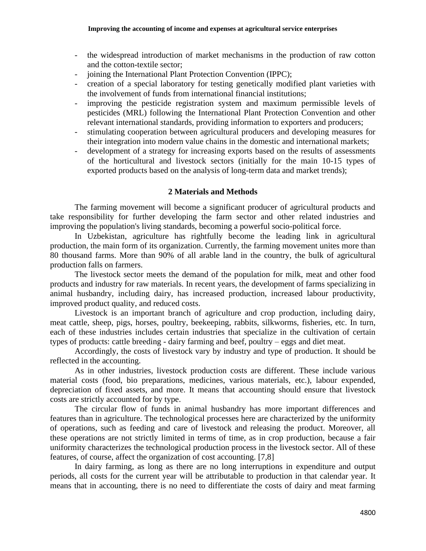- the widespread introduction of market mechanisms in the production of raw cotton and the cotton-textile sector;
- joining the International Plant Protection Convention (IPPC);
- creation of a special laboratory for testing genetically modified plant varieties with the involvement of funds from international financial institutions;
- improving the pesticide registration system and maximum permissible levels of pesticides (MRL) following the International Plant Protection Convention and other relevant international standards, providing information to exporters and producers;
- stimulating cooperation between agricultural producers and developing measures for their integration into modern value chains in the domestic and international markets;
- development of a strategy for increasing exports based on the results of assessments of the horticultural and livestock sectors (initially for the main 10-15 types of exported products based on the analysis of long-term data and market trends);

# **2 Materials and Methods**

The farming movement will become a significant producer of agricultural products and take responsibility for further developing the farm sector and other related industries and improving the population's living standards, becoming a powerful socio-political force.

In Uzbekistan, agriculture has rightfully become the leading link in agricultural production, the main form of its organization. Currently, the farming movement unites more than 80 thousand farms. More than 90% of all arable land in the country, the bulk of agricultural production falls on farmers.

The livestock sector meets the demand of the population for milk, meat and other food products and industry for raw materials. In recent years, the development of farms specializing in animal husbandry, including dairy, has increased production, increased labour productivity, improved product quality, and reduced costs.

Livestock is an important branch of agriculture and crop production, including dairy, meat cattle, sheep, pigs, horses, poultry, beekeeping, rabbits, silkworms, fisheries, etc. In turn, each of these industries includes certain industries that specialize in the cultivation of certain types of products: cattle breeding - dairy farming and beef, poultry – eggs and diet meat.

Accordingly, the costs of livestock vary by industry and type of production. It should be reflected in the accounting.

As in other industries, livestock production costs are different. These include various material costs (food, bio preparations, medicines, various materials, etc.), labour expended, depreciation of fixed assets, and more. It means that accounting should ensure that livestock costs are strictly accounted for by type.

The circular flow of funds in animal husbandry has more important differences and features than in agriculture. The technological processes here are characterized by the uniformity of operations, such as feeding and care of livestock and releasing the product. Moreover, all these operations are not strictly limited in terms of time, as in crop production, because a fair uniformity characterizes the technological production process in the livestock sector. All of these features, of course, affect the organization of cost accounting. [7,8]

In dairy farming, as long as there are no long interruptions in expenditure and output periods, all costs for the current year will be attributable to production in that calendar year. It means that in accounting, there is no need to differentiate the costs of dairy and meat farming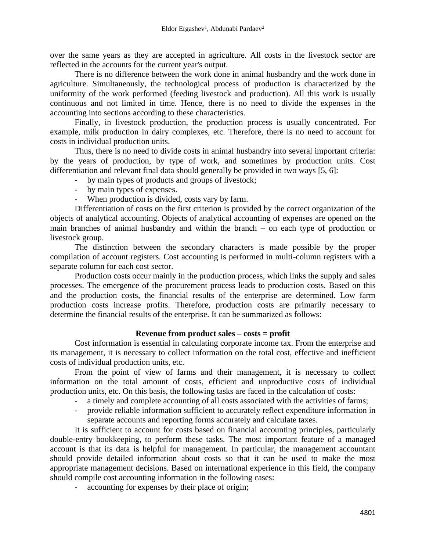over the same years as they are accepted in agriculture. All costs in the livestock sector are reflected in the accounts for the current year's output.

There is no difference between the work done in animal husbandry and the work done in agriculture. Simultaneously, the technological process of production is characterized by the uniformity of the work performed (feeding livestock and production). All this work is usually continuous and not limited in time. Hence, there is no need to divide the expenses in the accounting into sections according to these characteristics.

Finally, in livestock production, the production process is usually concentrated. For example, milk production in dairy complexes, etc. Therefore, there is no need to account for costs in individual production units.

Thus, there is no need to divide costs in animal husbandry into several important criteria: by the years of production, by type of work, and sometimes by production units. Cost differentiation and relevant final data should generally be provided in two ways [5, 6]:

- by main types of products and groups of livestock;
- by main types of expenses.
- When production is divided, costs vary by farm.

Differentiation of costs on the first criterion is provided by the correct organization of the objects of analytical accounting. Objects of analytical accounting of expenses are opened on the main branches of animal husbandry and within the branch – on each type of production or livestock group.

The distinction between the secondary characters is made possible by the proper compilation of account registers. Cost accounting is performed in multi-column registers with a separate column for each cost sector.

Production costs occur mainly in the production process, which links the supply and sales processes. The emergence of the procurement process leads to production costs. Based on this and the production costs, the financial results of the enterprise are determined. Low farm production costs increase profits. Therefore, production costs are primarily necessary to determine the financial results of the enterprise. It can be summarized as follows:

# **Revenue from product sales – costs = profit**

Cost information is essential in calculating corporate income tax. From the enterprise and its management, it is necessary to collect information on the total cost, effective and inefficient costs of individual production units, etc.

From the point of view of farms and their management, it is necessary to collect information on the total amount of costs, efficient and unproductive costs of individual production units, etc. On this basis, the following tasks are faced in the calculation of costs:

- a timely and complete accounting of all costs associated with the activities of farms;
- provide reliable information sufficient to accurately reflect expenditure information in separate accounts and reporting forms accurately and calculate taxes.

It is sufficient to account for costs based on financial accounting principles, particularly double-entry bookkeeping, to perform these tasks. The most important feature of a managed account is that its data is helpful for management. In particular, the management accountant should provide detailed information about costs so that it can be used to make the most appropriate management decisions. Based on international experience in this field, the company should compile cost accounting information in the following cases:

- accounting for expenses by their place of origin;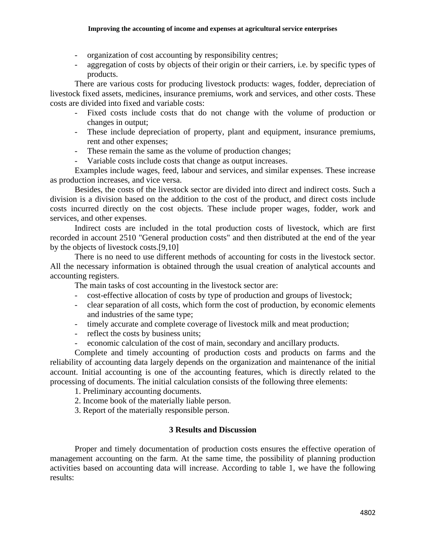- organization of cost accounting by responsibility centres;
- aggregation of costs by objects of their origin or their carriers, i.e. by specific types of products.

There are various costs for producing livestock products: wages, fodder, depreciation of livestock fixed assets, medicines, insurance premiums, work and services, and other costs. These costs are divided into fixed and variable costs:

- Fixed costs include costs that do not change with the volume of production or changes in output;
- These include depreciation of property, plant and equipment, insurance premiums, rent and other expenses;
- These remain the same as the volume of production changes;
- Variable costs include costs that change as output increases.

Examples include wages, feed, labour and services, and similar expenses. These increase as production increases, and vice versa.

Besides, the costs of the livestock sector are divided into direct and indirect costs. Such a division is a division based on the addition to the cost of the product, and direct costs include costs incurred directly on the cost objects. These include proper wages, fodder, work and services, and other expenses.

Indirect costs are included in the total production costs of livestock, which are first recorded in account 2510 "General production costs" and then distributed at the end of the year by the objects of livestock costs.[9,10]

There is no need to use different methods of accounting for costs in the livestock sector. All the necessary information is obtained through the usual creation of analytical accounts and accounting registers.

The main tasks of cost accounting in the livestock sector are:

- cost-effective allocation of costs by type of production and groups of livestock;
- clear separation of all costs, which form the cost of production, by economic elements and industries of the same type;
- timely accurate and complete coverage of livestock milk and meat production;
- reflect the costs by business units;
- economic calculation of the cost of main, secondary and ancillary products.

Complete and timely accounting of production costs and products on farms and the reliability of accounting data largely depends on the organization and maintenance of the initial account. Initial accounting is one of the accounting features, which is directly related to the processing of documents. The initial calculation consists of the following three elements:

1. Preliminary accounting documents.

- 2. Income book of the materially liable person.
- 3. Report of the materially responsible person.

# **3 Results and Discussion**

Proper and timely documentation of production costs ensures the effective operation of management accounting on the farm. At the same time, the possibility of planning production activities based on accounting data will increase. According to table 1, we have the following results: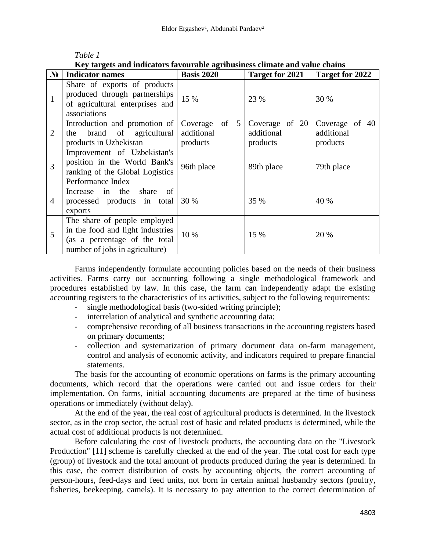| Rev tai gets and indicators favourable agribusiness chinate and value chains |                                                                                                                                     |                                              |                                          |                                          |
|------------------------------------------------------------------------------|-------------------------------------------------------------------------------------------------------------------------------------|----------------------------------------------|------------------------------------------|------------------------------------------|
| $N_2$                                                                        | <b>Indicator names</b>                                                                                                              | <b>Basis 2020</b>                            | <b>Target for 2021</b>                   | Target for 2022                          |
| 1                                                                            | Share of exports of products<br>produced through partnerships<br>of agricultural enterprises and<br>associations                    | 15 %                                         | 23 %                                     | 30 %                                     |
| 2                                                                            | Introduction and promotion of<br>brand of agricultural<br>the<br>products in Uzbekistan                                             | of $5$<br>Coverage<br>additional<br>products | Coverage of 20<br>additional<br>products | Coverage of 40<br>additional<br>products |
| 3                                                                            | Improvement of Uzbekistan's<br>position in the World Bank's<br>ranking of the Global Logistics<br>Performance Index                 | 96th place                                   | 89th place                               | 79th place                               |
| 4                                                                            | the<br>share<br>Increase<br>of<br>in<br>processed products in total<br>exports                                                      | 30 %                                         | 35 %                                     | 40 %                                     |
| 5                                                                            | The share of people employed<br>in the food and light industries<br>(as a percentage of the total<br>number of jobs in agriculture) | 10 %                                         | 15 %                                     | 20 %                                     |

# *Table 1*

**Key targets and indicators favourable agribusiness climate and value chains**

Farms independently formulate accounting policies based on the needs of their business activities. Farms carry out accounting following a single methodological framework and procedures established by law. In this case, the farm can independently adapt the existing accounting registers to the characteristics of its activities, subject to the following requirements:

- single methodological basis (two-sided writing principle);
- interrelation of analytical and synthetic accounting data;
- comprehensive recording of all business transactions in the accounting registers based on primary documents;
- collection and systematization of primary document data on-farm management, control and analysis of economic activity, and indicators required to prepare financial statements.

The basis for the accounting of economic operations on farms is the primary accounting documents, which record that the operations were carried out and issue orders for their implementation. On farms, initial accounting documents are prepared at the time of business operations or immediately (without delay).

At the end of the year, the real cost of agricultural products is determined. In the livestock sector, as in the crop sector, the actual cost of basic and related products is determined, while the actual cost of additional products is not determined.

Before calculating the cost of livestock products, the accounting data on the "Livestock Production" [11] scheme is carefully checked at the end of the year. The total cost for each type (group) of livestock and the total amount of products produced during the year is determined. In this case, the correct distribution of costs by accounting objects, the correct accounting of person-hours, feed-days and feed units, not born in certain animal husbandry sectors (poultry, fisheries, beekeeping, camels). It is necessary to pay attention to the correct determination of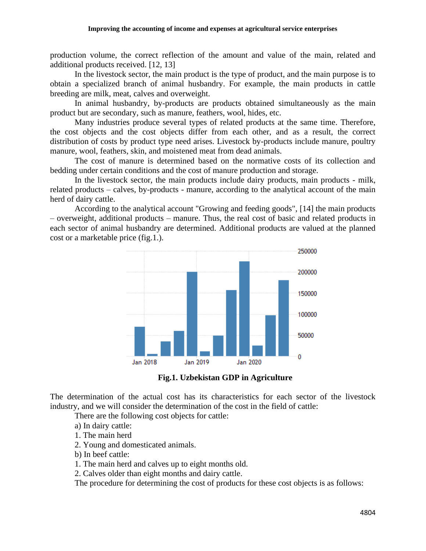production volume, the correct reflection of the amount and value of the main, related and additional products received. [12, 13]

In the livestock sector, the main product is the type of product, and the main purpose is to obtain a specialized branch of animal husbandry. For example, the main products in cattle breeding are milk, meat, calves and overweight.

In animal husbandry, by-products are products obtained simultaneously as the main product but are secondary, such as manure, feathers, wool, hides, etc.

Many industries produce several types of related products at the same time. Therefore, the cost objects and the cost objects differ from each other, and as a result, the correct distribution of costs by product type need arises. Livestock by-products include manure, poultry manure, wool, feathers, skin, and moistened meat from dead animals.

The cost of manure is determined based on the normative costs of its collection and bedding under certain conditions and the cost of manure production and storage.

In the livestock sector, the main products include dairy products, main products - milk, related products – calves, by-products - manure, according to the analytical account of the main herd of dairy cattle.

According to the analytical account "Growing and feeding goods", [14] the main products – overweight, additional products – manure. Thus, the real cost of basic and related products in each sector of animal husbandry are determined. Additional products are valued at the planned cost or a marketable price (fig.1.).





The determination of the actual cost has its characteristics for each sector of the livestock industry, and we will consider the determination of the cost in the field of cattle:

There are the following cost objects for cattle:

- a) In dairy cattle:
- 1. The main herd
- 2. Young and domesticated animals.
- b) In beef cattle:
- 1. The main herd and calves up to eight months old.
- 2. Calves older than eight months and dairy cattle.

The procedure for determining the cost of products for these cost objects is as follows: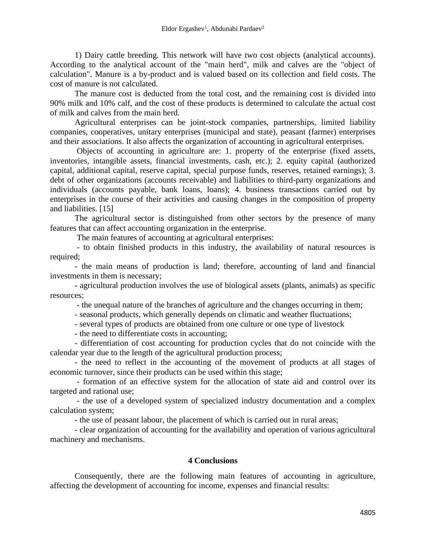1) Dairy cattle breeding. This network will have two cost objects (analytical accounts). According to the analytical account of the "main herd", milk and calves are the "object of calculation". Manure is a by-product and is valued based on its collection and field costs. The cost of manure is not calculated.

The manure cost is deducted from the total cost, and the remaining cost is divided into 90% milk and 10% calf, and the cost of these products is determined to calculate the actual cost of milk and calves from the main herd.

Agricultural enterprises can be joint-stock companies, partnerships, limited liability companies, cooperatives, unitary enterprises (municipal and state), peasant (farmer) enterprises and their associations. It also affects the organization of accounting in agricultural enterprises.

Objects of accounting in agriculture are: 1. property of the enterprise (fixed assets, inventories, intangible assets, financial investments, cash, etc.); 2. equity capital (authorized capital, additional capital, reserve capital, special purpose funds, reserves, retained earnings); 3. debt of other organizations (accounts receivable) and liabilities to third-party organizations and individuals (accounts payable, bank loans, loans); 4. business transactions carried out by enterprises in the course of their activities and causing changes in the composition of property and liabilities. [15]

The agricultural sector is distinguished from other sectors by the presence of many features that can affect accounting organization in the enterprise.

The main features of accounting at agricultural enterprises:

- to obtain finished products in this industry, the availability of natural resources is required;

- the main means of production is land; therefore, accounting of land and financial investments in them is necessary;

- agricultural production involves the use of biological assets (plants, animals) as specific resources;

- the unequal nature of the branches of agriculture and the changes occurring in them;

- seasonal products, which generally depends on climatic and weather fluctuations;

- several types of products are obtained from one culture or one type of livestock

- the need to differentiate costs in accounting;

- differentiation of cost accounting for production cycles that do not coincide with the calendar year due to the length of the agricultural production process;

- the need to reflect in the accounting of the movement of products at all stages of economic turnover, since their products can be used within this stage;

- formation of an effective system for the allocation of state aid and control over its targeted and rational use;

- the use of a developed system of specialized industry documentation and a complex calculation system;

- the use of peasant labour, the placement of which is carried out in rural areas;

- clear organization of accounting for the availability and operation of various agricultural machinery and mechanisms.

# **4 Conclusions**

Consequently, there are the following main features of accounting in agriculture, affecting the development of accounting for income, expenses and financial results: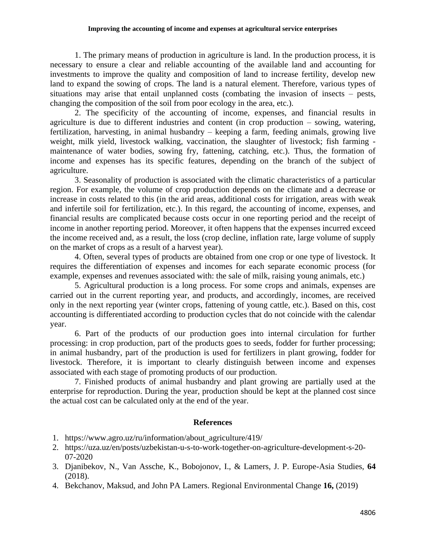#### **Improving the accounting of income and expenses at agricultural service enterprises**

1. The primary means of production in agriculture is land. In the production process, it is necessary to ensure a clear and reliable accounting of the available land and accounting for investments to improve the quality and composition of land to increase fertility, develop new land to expand the sowing of crops. The land is a natural element. Therefore, various types of situations may arise that entail unplanned costs (combating the invasion of insects – pests, changing the composition of the soil from poor ecology in the area, etc.).

2. The specificity of the accounting of income, expenses, and financial results in agriculture is due to different industries and content (in crop production – sowing, watering, fertilization, harvesting, in animal husbandry – keeping a farm, feeding animals, growing live weight, milk yield, livestock walking, vaccination, the slaughter of livestock; fish farming maintenance of water bodies, sowing fry, fattening, catching, etc.). Thus, the formation of income and expenses has its specific features, depending on the branch of the subject of agriculture.

3. Seasonality of production is associated with the climatic characteristics of a particular region. For example, the volume of crop production depends on the climate and a decrease or increase in costs related to this (in the arid areas, additional costs for irrigation, areas with weak and infertile soil for fertilization, etc.). In this regard, the accounting of income, expenses, and financial results are complicated because costs occur in one reporting period and the receipt of income in another reporting period. Moreover, it often happens that the expenses incurred exceed the income received and, as a result, the loss (crop decline, inflation rate, large volume of supply on the market of crops as a result of a harvest year).

4. Often, several types of products are obtained from one crop or one type of livestock. It requires the differentiation of expenses and incomes for each separate economic process (for example, expenses and revenues associated with: the sale of milk, raising young animals, etc.)

5. Agricultural production is a long process. For some crops and animals, expenses are carried out in the current reporting year, and products, and accordingly, incomes, are received only in the next reporting year (winter crops, fattening of young cattle, etc.). Based on this, cost accounting is differentiated according to production cycles that do not coincide with the calendar year.

6. Part of the products of our production goes into internal circulation for further processing: in crop production, part of the products goes to seeds, fodder for further processing; in animal husbandry, part of the production is used for fertilizers in plant growing, fodder for livestock. Therefore, it is important to clearly distinguish between income and expenses associated with each stage of promoting products of our production.

7. Finished products of animal husbandry and plant growing are partially used at the enterprise for reproduction. During the year, production should be kept at the planned cost since the actual cost can be calculated only at the end of the year.

# **References**

- 1. [https://www.agro.uz/ru/information/about\\_agriculture/419/](https://www.agro.uz/ru/information/about_agriculture/419/)
- 2. https://uza.uz/en/posts/uzbekistan-u-s-to-work-together-on-agriculture-development-s-20- 07-2020
- 3. Djanibekov, N., Van Assche, K., Bobojonov, I., & Lamers, J. P. Europe-Asia Studies, **64** (2018).
- 4. Bekchanov, Maksud, and John PA Lamers. Regional Environmental Change **16,** (2019)